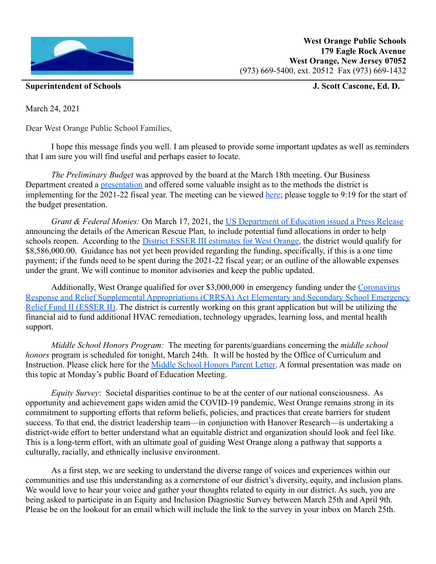

**Superintendent of Schools J. Scott Cascone, Ed. D.**

March 24, 2021

Dear West Orange Public School Families,

I hope this message finds you well. I am pleased to provide some important updates as well as reminders that I am sure you will find useful and perhaps easier to locate.

*The Preliminary Budget* was approved by the board at the March 18th meeting. Our Business Department created a [presentation](https://www.woboe.org/site/handlers/filedownload.ashx?moduleinstanceid=10915&dataid=12873&FileName=2222021%20Budget%20Presentation.pdf) and offered some valuable insight as to the methods the district is implementing for the 2021-22 fiscal year. The meeting can be viewed [here;](https://www.woboe.org/Page/5607) please toggle to 9:19 for the start of the budget presentation.

*Grant & Federal Monies:* On March 17, 2021, the US [Department of Education issued a Press Release](https://www.ed.gov/news/press-releases/department-education-announces-american-rescue-plan-funds-all-50-states-puerto-rico-and-district-columbia-help-schools-reopen) announcing the details of the American Rescue Plan, to include potential fund allocations in order to help schools reopen. According to the District ESSER III [estimates for West Orange,](https://public.tableau.com/profile/ddeschryver#!/vizhome/HR133ESSERStimulusAllocations/ESSERIIIII) the district would qualify for \$8,586,000.00. Guidance has not yet been provided regarding the funding, specifically, if this is a one time payment; if the funds need to be spent during the 2021-22 fiscal year; or an outline of the allowable expenses under the grant. We will continue to monitor advisories and keep the public updated.

Additionally, West Orange qualified for over \$3,000,000 in emergency funding under the [Coronavirus](https://www.nj.gov/education/covid19/boardops/crrsa.shtml) [Response and Relief Supplemental Appropriations \(CRRSA\)](https://www.nj.gov/education/covid19/boardops/crrsa.shtml) Act Elementary and Secondary School Emergency [Relief Fund II \(ESSER II\).](https://www.nj.gov/education/covid19/boardops/crrsa.shtml) The district is currently working on this grant application but will be utilizing the financial aid to fund additional HVAC remediation, technology upgrades, learning loss, and mental health support.

*Middle School Honors Program:* The meeting for parents/guardians concerning the *middle school honors* program is scheduled for tonight, March 24th. It will be hosted by the Office of Curriculum and Instruction. Please click here for the Middle School [Honors Parent Letter.](https://docs.google.com/document/d/1TzNNRN6zjHZIOYFK_pJuF_zUTu7wSvL5-_bzUVrRQBs/edit) A formal presentation was made on this topic at Monday's public Board of Education Meeting.

*Equity Survey*: Societal disparities continue to be at the center of our national consciousness. As opportunity and achievement gaps widen amid the COVID-19 pandemic, West Orange remains strong in its commitment to supporting efforts that reform beliefs, policies, and practices that create barriers for student success. To that end, the district leadership team—in conjunction with Hanover Research—is undertaking a district-wide effort to better understand what an equitable district and organization should look and feel like. This is a long-term effort, with an ultimate goal of guiding West Orange along a pathway that supports a culturally, racially, and ethnically inclusive environment.

As a first step, we are seeking to understand the diverse range of voices and experiences within our communities and use this understanding as a cornerstone of our district's diversity, equity, and inclusion plans. We would love to hear your voice and gather your thoughts related to equity in our district. As such, you are being asked to participate in an Equity and Inclusion Diagnostic Survey between March 25th and April 9th. Please be on the lookout for an email which will include the link to the survey in your inbox on March 25th.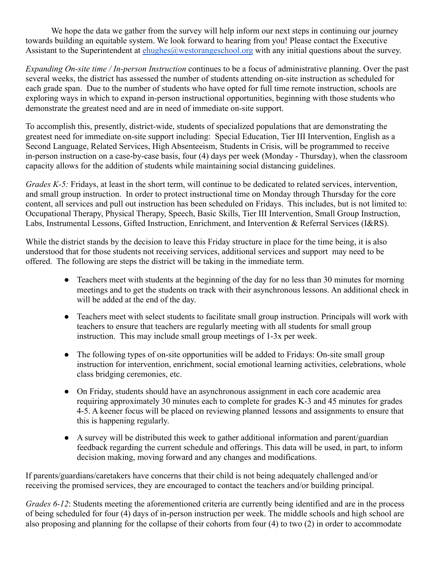We hope the data we gather from the survey will help inform our next steps in continuing our journey towards building an equitable system. We look forward to hearing from you! Please contact the Executive Assistant to the Superintendent at [ehughes@westorangeschool.org](mailto:ehughes@westorangeschool.org) with any initial questions about the survey.

*Expanding On-site time / In-person Instruction* continues to be a focus of administrative planning. Over the past several weeks, the district has assessed the number of students attending on-site instruction as scheduled for each grade span. Due to the number of students who have opted for full time remote instruction, schools are exploring ways in which to expand in-person instructional opportunities, beginning with those students who demonstrate the greatest need and are in need of immediate on-site support.

To accomplish this, presently, district-wide, students of specialized populations that are demonstrating the greatest need for immediate on-site support including: Special Education, Tier III Intervention, English as a Second Language, Related Services, High Absenteeism, Students in Crisis, will be programmed to receive in-person instruction on a case-by-case basis, four (4) days per week (Monday - Thursday), when the classroom capacity allows for the addition of students while maintaining social distancing guidelines.

*Grades K-5:* Fridays, at least in the short term, will continue to be dedicated to related services, intervention, and small group instruction. In order to protect instructional time on Monday through Thursday for the core content, all services and pull out instruction has been scheduled on Fridays. This includes, but is not limited to: Occupational Therapy, Physical Therapy, Speech, Basic Skills, Tier III Intervention, Small Group Instruction, Labs, Instrumental Lessons, Gifted Instruction, Enrichment, and Intervention & Referral Services (I&RS).

While the district stands by the decision to leave this Friday structure in place for the time being, it is also understood that for those students not receiving services, additional services and support may need to be offered. The following are steps the district will be taking in the immediate term.

- Teachers meet with students at the beginning of the day for no less than 30 minutes for morning meetings and to get the students on track with their asynchronous lessons. An additional check in will be added at the end of the day.
- Teachers meet with select students to facilitate small group instruction. Principals will work with teachers to ensure that teachers are regularly meeting with all students for small group instruction. This may include small group meetings of 1-3x per week.
- The following types of on-site opportunities will be added to Fridays: On-site small group instruction for intervention, enrichment, social emotional learning activities, celebrations, whole class bridging ceremonies, etc.
- On Friday, students should have an asynchronous assignment in each core academic area requiring approximately 30 minutes each to complete for grades K-3 and 45 minutes for grades 4-5. A keener focus will be placed on reviewing planned lessons and assignments to ensure that this is happening regularly.
- A survey will be distributed this week to gather additional information and parent/guardian feedback regarding the current schedule and offerings. This data will be used, in part, to inform decision making, moving forward and any changes and modifications.

If parents/guardians/caretakers have concerns that their child is not being adequately challenged and/or receiving the promised services, they are encouraged to contact the teachers and/or building principal.

*Grades 6-12*: Students meeting the aforementioned criteria are currently being identified and are in the process of being scheduled for four (4) days of in-person instruction per week. The middle schools and high school are also proposing and planning for the collapse of their cohorts from four (4) to two (2) in order to accommodate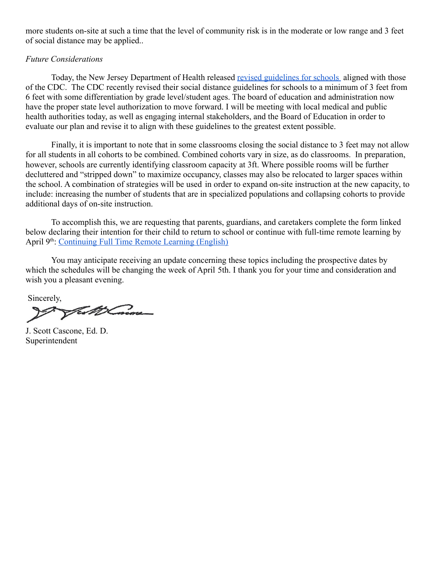more students on-site at such a time that the level of community risk is in the moderate or low range and 3 feet of social distance may be applied..

## *Future Considerations*

Today, the New Jersey Department of Health released [revised guidelines for schools](https://www.nj.gov/health/cd/documents/topics/NCOV/RecommendationsForLocalHealthDepts_K12Schools.pdf) aligned with those of the CDC. The CDC recently revised their social distance guidelines for schools to a minimum of 3 feet from 6 feet with some differentiation by grade level/student ages. The board of education and administration now have the proper state level authorization to move forward. I will be meeting with local medical and public health authorities today, as well as engaging internal stakeholders, and the Board of Education in order to evaluate our plan and revise it to align with these guidelines to the greatest extent possible.

Finally, it is important to note that in some classrooms closing the social distance to 3 feet may not allow for all students in all cohorts to be combined. Combined cohorts vary in size, as do classrooms. In preparation, however, schools are currently identifying classroom capacity at 3ft. Where possible rooms will be further decluttered and "stripped down" to maximize occupancy, classes may also be relocated to larger spaces within the school. A combination of strategies will be used in order to expand on-site instruction at the new capacity, to include: increasing the number of students that are in specialized populations and collapsing cohorts to provide additional days of on-site instruction.

To accomplish this, we are requesting that parents, guardians, and caretakers complete the form linked below declaring their intention for their child to return to school or continue with full-time remote learning by April 9<sup>th</sup>: [Continuing Full Time Remote Learning \(English\)](https://docs.google.com/forms/d/e/1FAIpQLSdbxwED8fIyX_1CqEBnRk60HHPP5DSgN2XPuFPLw_lRuqe_hA/viewform)

You may anticipate receiving an update concerning these topics including the prospective dates by which the schedules will be changing the week of April 5th. I thank you for your time and consideration and wish you a pleasant evening.

Sincerely,

Fest & Concore

J. Scott Cascone, Ed. D. Superintendent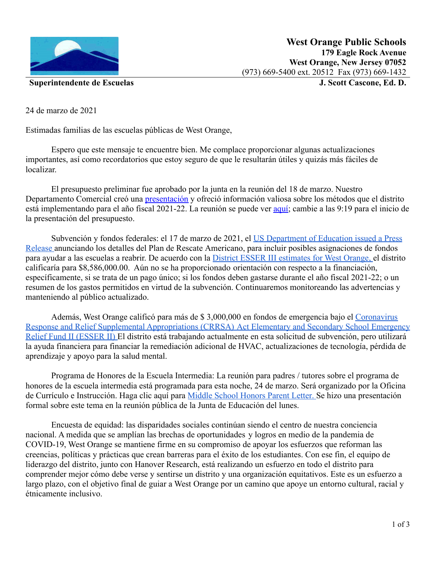

**Superintendente de Escuelas J. Scott Cascone, Ed. D.**

24 de marzo de 2021

Estimadas familias de las escuelas públicas de West Orange,

Espero que este mensaje te encuentre bien. Me complace proporcionar algunas actualizaciones importantes, así como recordatorios que estoy seguro de que le resultarán útiles y quizás más fáciles de localizar.

El presupuesto preliminar fue aprobado por la junta en la reunión del 18 de marzo. Nuestro Departamento Comercial creó una [presentación](https://www.woboe.org/site/handlers/filedownload.ashx?moduleinstanceid=10915&dataid=12873&FileName=2222021%20Budget%20Presentation.pdf) y ofreció información valiosa sobre los métodos que el distrito está implementando para el año fiscal 2021-22. La reunión se puede ver [aquí;](https://www.woboe.org/Page/5607) cambie a las 9:19 para el inicio de la presentación del presupuesto.

Subvención y fondos federales: el 17 de marzo de 2021, el [US Department of Education issued a Press](https://www.ed.gov/news/press-releases/department-education-announces-american-rescue-plan-funds-all-50-states-puerto-rico-and-district-columbia-help-schools-reopen) [Release](https://www.ed.gov/news/press-releases/department-education-announces-american-rescue-plan-funds-all-50-states-puerto-rico-and-district-columbia-help-schools-reopen) anunciando los detalles del Plan de Rescate Americano, para incluir posibles asignaciones de fondos para ayudar a las escuelas a reabrir. De acuerdo con la [District ESSER III estimates for West Orange](https://public.tableau.com/profile/ddeschryver#!/vizhome/HR133ESSERStimulusAllocations/ESSERIIIII), el distrito calificaría para \$8,586,000.00. Aún no se ha proporcionado orientación con respecto a la financiación, específicamente, si se trata de un pago único; si los fondos deben gastarse durante el año fiscal 2021-22; o un resumen de los gastos permitidos en virtud de la subvención. Continuaremos monitoreando las advertencias y manteniendo al público actualizado.

Además, West Orange calificó para más de \$ 3,000,000 en fondos de emergencia bajo el [Coronavirus](https://www.nj.gov/education/covid19/boardops/crrsa.shtml) [Response and Relief Supplemental Appropriations \(CRRSA\)](https://www.nj.gov/education/covid19/boardops/crrsa.shtml) Act Elementary and Secondary School Emergency [Relief Fund II \(ESSER II\)](https://www.nj.gov/education/covid19/boardops/crrsa.shtml) El distrito está trabajando actualmente en esta solicitud de subvención, pero utilizará la ayuda financiera para financiar la remediación adicional de HVAC, actualizaciones de tecnología, pérdida de aprendizaje y apoyo para la salud mental.

Programa de Honores de la Escuela Intermedia: La reunión para padres / tutores sobre el programa de honores de la escuela intermedia está programada para esta noche, 24 de marzo. Será organizado por la Oficina de Currículo e Instrucción. Haga clic aquí para Middle [School Honors Parent Letter](https://docs.google.com/document/d/1TzNNRN6zjHZIOYFK_pJuF_zUTu7wSvL5-_bzUVrRQBs/edit). Se hizo una presentación formal sobre este tema en la reunión pública de la Junta de Educación del lunes.

Encuesta de equidad: las disparidades sociales continúan siendo el centro de nuestra conciencia nacional. A medida que se amplían las brechas de oportunidades y logros en medio de la pandemia de COVID-19, West Orange se mantiene firme en su compromiso de apoyar los esfuerzos que reforman las creencias, políticas y prácticas que crean barreras para el éxito de los estudiantes. Con ese fin, el equipo de liderazgo del distrito, junto con Hanover Research, está realizando un esfuerzo en todo el distrito para comprender mejor cómo debe verse y sentirse un distrito y una organización equitativos. Este es un esfuerzo a largo plazo, con el objetivo final de guiar a West Orange por un camino que apoye un entorno cultural, racial y étnicamente inclusivo.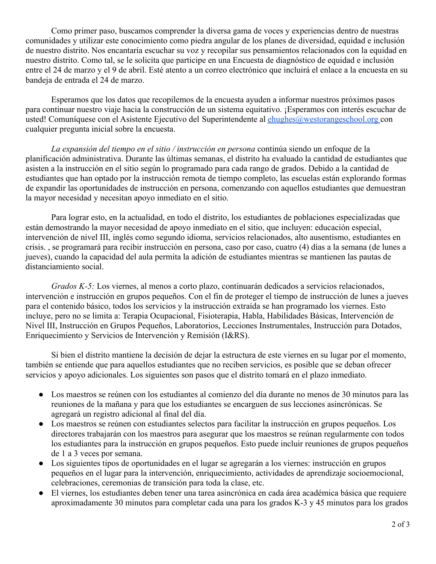Como primer paso, buscamos comprender la diversa gama de voces y experiencias dentro de nuestras comunidades y utilizar este conocimiento como piedra angular de los planes de diversidad, equidad e inclusión de nuestro distrito. Nos encantaría escuchar su voz y recopilar sus pensamientos relacionados con la equidad en nuestro distrito. Como tal, se le solicita que participe en una Encuesta de diagnóstico de equidad e inclusión entre el 24 de marzo y el 9 de abril. Esté atento a un correo electrónico que incluirá el enlace a la encuesta en su bandeja de entrada el 24 de marzo.

Esperamos que los datos que recopilemos de la encuesta ayuden a informar nuestros próximos pasos para continuar nuestro viaje hacia la construcción de un sistema equitativo. ¡Esperamos con interés escuchar de usted! Comuníquese con el Asistente Ejecutivo del Superintendente al *[ehughes@westorangeschool.org](mailto:ehughes@westorangeschool.org)* con cualquier pregunta inicial sobre la encuesta.

*La expansión del tiempo en el sitio / instrucción en persona* continúa siendo un enfoque de la planificación administrativa. Durante las últimas semanas, el distrito ha evaluado la cantidad de estudiantes que asisten a la instrucción en el sitio según lo programado para cada rango de grados. Debido a la cantidad de estudiantes que han optado por la instrucción remota de tiempo completo, las escuelas están explorando formas de expandir las oportunidades de instrucción en persona, comenzando con aquellos estudiantes que demuestran la mayor necesidad y necesitan apoyo inmediato en el sitio.

Para lograr esto, en la actualidad, en todo el distrito, los estudiantes de poblaciones especializadas que están demostrando la mayor necesidad de apoyo inmediato en el sitio, que incluyen: educación especial, intervención de nivel III, inglés como segundo idioma, servicios relacionados, alto ausentismo, estudiantes en crisis. , se programará para recibir instrucción en persona, caso por caso, cuatro (4) días a la semana (de lunes a jueves), cuando la capacidad del aula permita la adición de estudiantes mientras se mantienen las pautas de distanciamiento social.

*Grados K-5:* Los viernes, al menos a corto plazo, continuarán dedicados a servicios relacionados, intervención e instrucción en grupos pequeños. Con el fin de proteger el tiempo de instrucción de lunes a jueves para el contenido básico, todos los servicios y la instrucción extraída se han programado los viernes. Esto incluye, pero no se limita a: Terapia Ocupacional, Fisioterapia, Habla, Habilidades Básicas, Intervención de Nivel III, Instrucción en Grupos Pequeños, Laboratorios, Lecciones Instrumentales, Instrucción para Dotados, Enriquecimiento y Servicios de Intervención y Remisión (I&RS).

Si bien el distrito mantiene la decisión de dejar la estructura de este viernes en su lugar por el momento, también se entiende que para aquellos estudiantes que no reciben servicios, es posible que se deban ofrecer servicios y apoyo adicionales. Los siguientes son pasos que el distrito tomará en el plazo inmediato.

- Los maestros se reúnen con los estudiantes al comienzo del día durante no menos de 30 minutos para las reuniones de la mañana y para que los estudiantes se encarguen de sus lecciones asincrónicas. Se agregará un registro adicional al final del día.
- Los maestros se reúnen con estudiantes selectos para facilitar la instrucción en grupos pequeños. Los directores trabajarán con los maestros para asegurar que los maestros se reúnan regularmente con todos los estudiantes para la instrucción en grupos pequeños. Esto puede incluir reuniones de grupos pequeños de 1 a 3 veces por semana.
- Los siguientes tipos de oportunidades en el lugar se agregarán a los viernes: instrucción en grupos pequeños en el lugar para la intervención, enriquecimiento, actividades de aprendizaje socioemocional, celebraciones, ceremonias de transición para toda la clase, etc.
- El viernes, los estudiantes deben tener una tarea asincrónica en cada área académica básica que requiere aproximadamente 30 minutos para completar cada una para los grados K-3 y 45 minutos para los grados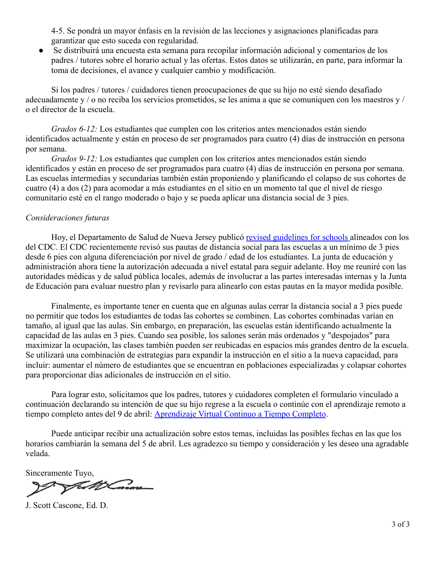4-5. Se pondrá un mayor énfasis en la revisión de las lecciones y asignaciones planificadas para garantizar que esto suceda con regularidad.

Se distribuirá una encuesta esta semana para recopilar información adicional y comentarios de los padres / tutores sobre el horario actual y las ofertas. Estos datos se utilizarán, en parte, para informar la toma de decisiones, el avance y cualquier cambio y modificación.

Si los padres / tutores / cuidadores tienen preocupaciones de que su hijo no esté siendo desafiado adecuadamente y / o no reciba los servicios prometidos, se les anima a que se comuniquen con los maestros y / o el director de la escuela.

*Grados 6-12:* Los estudiantes que cumplen con los criterios antes mencionados están siendo identificados actualmente y están en proceso de ser programados para cuatro (4) días de instrucción en persona por semana.

*Grados 9-12:* Los estudiantes que cumplen con los criterios antes mencionados están siendo identificados y están en proceso de ser programados para cuatro (4) días de instrucción en persona por semana. Las escuelas intermedias y secundarias también están proponiendo y planificando el colapso de sus cohortes de cuatro (4) a dos (2) para acomodar a más estudiantes en el sitio en un momento tal que el nivel de riesgo comunitario esté en el rango moderado o bajo y se pueda aplicar una distancia social de 3 pies.

## *Consideraciones futuras*

Hoy, el Departamento de Salud de Nueva Jersey publicó [revised guidelines for schools](https://www.nj.gov/health/cd/documents/topics/NCOV/RecommendationsForLocalHealthDepts_K12Schools.pdf) alineados con los del CDC. El CDC recientemente revisó sus pautas de distancia social para las escuelas a un mínimo de 3 pies desde 6 pies con alguna diferenciación por nivel de grado / edad de los estudiantes. La junta de educación y administración ahora tiene la autorización adecuada a nivel estatal para seguir adelante. Hoy me reuniré con las autoridades médicas y de salud pública locales, además de involucrar a las partes interesadas internas y la Junta de Educación para evaluar nuestro plan y revisarlo para alinearlo con estas pautas en la mayor medida posible.

Finalmente, es importante tener en cuenta que en algunas aulas cerrar la distancia social a 3 pies puede no permitir que todos los estudiantes de todas las cohortes se combinen. Las cohortes combinadas varían en tamaño, al igual que las aulas. Sin embargo, en preparación, las escuelas están identificando actualmente la capacidad de las aulas en 3 pies. Cuando sea posible, los salones serán más ordenados y "despojados" para maximizar la ocupación, las clases también pueden ser reubicadas en espacios más grandes dentro de la escuela. Se utilizará una combinación de estrategias para expandir la instrucción en el sitio a la nueva capacidad, para incluir: aumentar el número de estudiantes que se encuentran en poblaciones especializadas y colapsar cohortes para proporcionar días adicionales de instrucción en el sitio.

Para lograr esto, solicitamos que los padres, tutores y cuidadores completen el formulario vinculado a continuación declarando su intención de que su hijo regrese a la escuela o continúe con el aprendizaje remoto a tiempo completo antes del 9 de abril: Aprendizaje [Virtual Continuo a Tiempo Completo](https://docs.google.com/forms/d/e/1FAIpQLSdCzCenJh_MEpPI_6H3BQzZerhHKnjv6-nWM0VdrcHs7pFPlA/viewform).

Puede anticipar recibir una actualización sobre estos temas, incluidas las posibles fechas en las que los horarios cambiarán la semana del 5 de abril. Les agradezco su tiempo y consideración y les deseo una agradable velada.

Sinceramente Tuyo,

J. Scott Cascone, Ed. D.